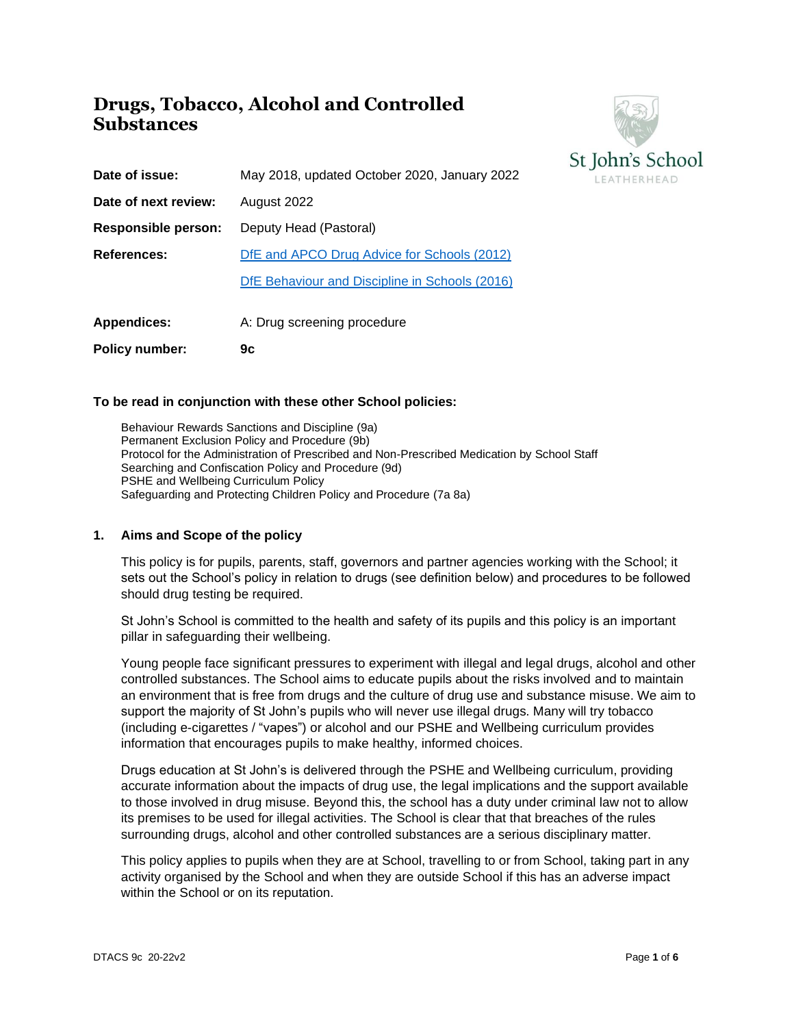## **Drugs, Tobacco, Alcohol and Controlled Substances**



| <b>Policy number:</b> | 9c                                             |
|-----------------------|------------------------------------------------|
| <b>Appendices:</b>    | A: Drug screening procedure                    |
|                       | DfE Behaviour and Discipline in Schools (2016) |
| References:           | DfE and APCO Drug Advice for Schools (2012)    |
| Responsible person:   | Deputy Head (Pastoral)                         |
| Date of next review:  | August 2022                                    |
| Date of issue:        | May 2018, updated October 2020, January 2022   |

## **To be read in conjunction with these other School policies:**

Behaviour Rewards Sanctions and Discipline (9a) Permanent Exclusion Policy and Procedure (9b) Protocol for the Administration of Prescribed and Non-Prescribed Medication by School Staff Searching and Confiscation Policy and Procedure (9d) PSHE and Wellbeing Curriculum Policy Safeguarding and Protecting Children Policy and Procedure (7a 8a)

### **1. Aims and Scope of the policy**

This policy is for pupils, parents, staff, governors and partner agencies working with the School; it sets out the School's policy in relation to drugs (see definition below) and procedures to be followed should drug testing be required.

St John's School is committed to the health and safety of its pupils and this policy is an important pillar in safeguarding their wellbeing.

Young people face significant pressures to experiment with illegal and legal drugs, alcohol and other controlled substances. The School aims to educate pupils about the risks involved and to maintain an environment that is free from drugs and the culture of drug use and substance misuse. We aim to support the majority of St John's pupils who will never use illegal drugs. Many will try tobacco (including e-cigarettes / "vapes") or alcohol and our PSHE and Wellbeing curriculum provides information that encourages pupils to make healthy, informed choices.

Drugs education at St John's is delivered through the PSHE and Wellbeing curriculum, providing accurate information about the impacts of drug use, the legal implications and the support available to those involved in drug misuse. Beyond this, the school has a duty under criminal law not to allow its premises to be used for illegal activities. The School is clear that that breaches of the rules surrounding drugs, alcohol and other controlled substances are a serious disciplinary matter.

This policy applies to pupils when they are at School, travelling to or from School, taking part in any activity organised by the School and when they are outside School if this has an adverse impact within the School or on its reputation.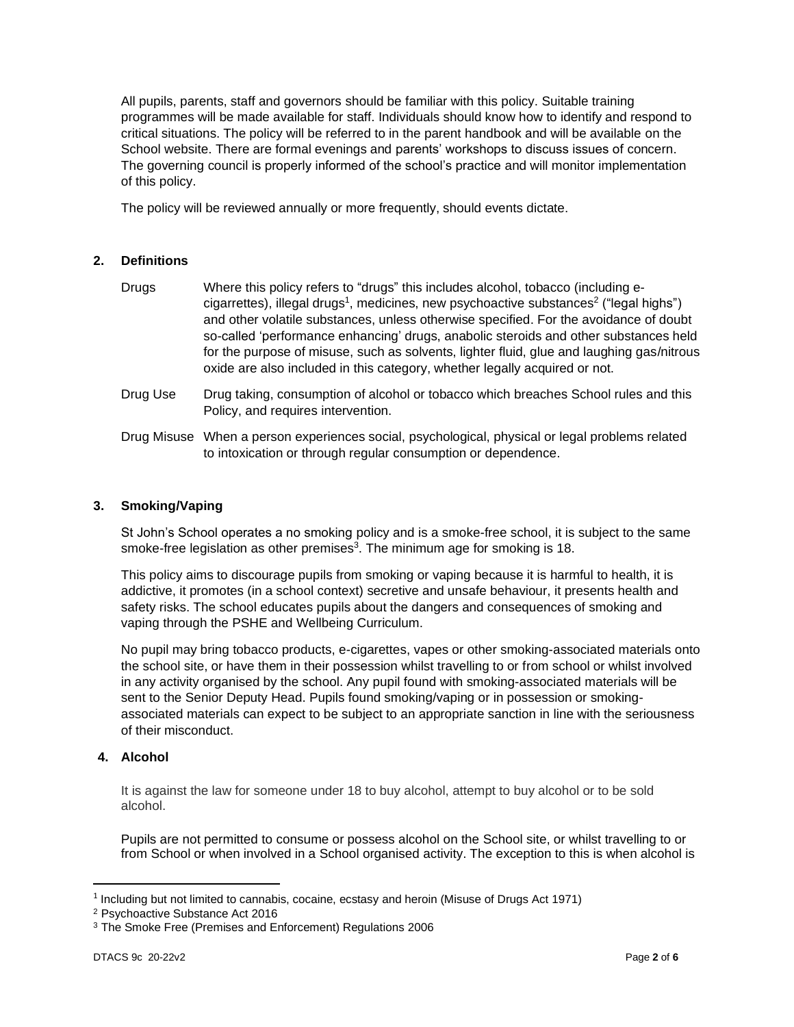All pupils, parents, staff and governors should be familiar with this policy. Suitable training programmes will be made available for staff. Individuals should know how to identify and respond to critical situations. The policy will be referred to in the parent handbook and will be available on the School website. There are formal evenings and parents' workshops to discuss issues of concern. The governing council is properly informed of the school's practice and will monitor implementation of this policy.

The policy will be reviewed annually or more frequently, should events dictate.

## **2. Definitions**

| Drugs    | Where this policy refers to "drugs" this includes alcohol, tobacco (including e-<br>cigarrettes), illegal drugs <sup>1</sup> , medicines, new psychoactive substances <sup>2</sup> ("legal highs")<br>and other volatile substances, unless otherwise specified. For the avoidance of doubt<br>so-called 'performance enhancing' drugs, anabolic steroids and other substances held<br>for the purpose of misuse, such as solvents, lighter fluid, glue and laughing gas/nitrous<br>oxide are also included in this category, whether legally acquired or not. |
|----------|----------------------------------------------------------------------------------------------------------------------------------------------------------------------------------------------------------------------------------------------------------------------------------------------------------------------------------------------------------------------------------------------------------------------------------------------------------------------------------------------------------------------------------------------------------------|
| Drug Use | Drug taking, consumption of alcohol or tobacco which breaches School rules and this<br>Policy, and requires intervention.                                                                                                                                                                                                                                                                                                                                                                                                                                      |

Drug Misuse When a person experiences social, psychological, physical or legal problems related to intoxication or through regular consumption or dependence.

## **3. Smoking/Vaping**

St John's School operates a no smoking policy and is a smoke-free school, it is subject to the same smoke-free legislation as other premises<sup>3</sup>. The minimum age for smoking is 18.

This policy aims to discourage pupils from smoking or vaping because it is harmful to health, it is addictive, it promotes (in a school context) secretive and unsafe behaviour, it presents health and safety risks. The school educates pupils about the dangers and consequences of smoking and vaping through the PSHE and Wellbeing Curriculum.

No pupil may bring tobacco products, e-cigarettes, vapes or other smoking-associated materials onto the school site, or have them in their possession whilst travelling to or from school or whilst involved in any activity organised by the school. Any pupil found with smoking-associated materials will be sent to the Senior Deputy Head. Pupils found smoking/vaping or in possession or smokingassociated materials can expect to be subject to an appropriate sanction in line with the seriousness of their misconduct.

## **4. Alcohol**

It is against the law for someone under 18 to buy alcohol, attempt to buy alcohol or to be sold alcohol.

Pupils are not permitted to consume or possess alcohol on the School site, or whilst travelling to or from School or when involved in a School organised activity. The exception to this is when alcohol is

<sup>&</sup>lt;sup>1</sup> Including but not limited to cannabis, cocaine, ecstasy and heroin (Misuse of Drugs Act 1971)

<sup>2</sup> Psychoactive Substance Act 2016

<sup>3</sup> The Smoke Free (Premises and Enforcement) Regulations 2006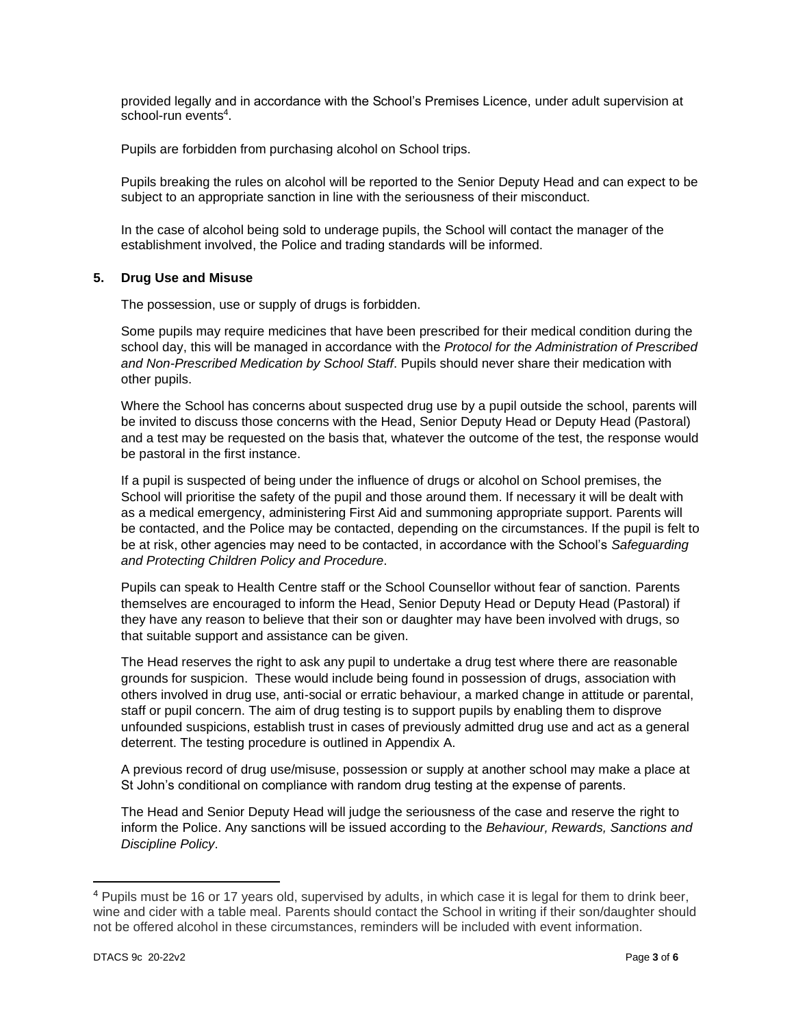provided legally and in accordance with the School's Premises Licence, under adult supervision at school-run events<sup>4</sup>.

Pupils are forbidden from purchasing alcohol on School trips.

Pupils breaking the rules on alcohol will be reported to the Senior Deputy Head and can expect to be subject to an appropriate sanction in line with the seriousness of their misconduct.

In the case of alcohol being sold to underage pupils, the School will contact the manager of the establishment involved, the Police and trading standards will be informed.

### **5. Drug Use and Misuse**

The possession, use or supply of drugs is forbidden.

Some pupils may require medicines that have been prescribed for their medical condition during the school day, this will be managed in accordance with the *Protocol for the Administration of Prescribed and Non-Prescribed Medication by School Staff*. Pupils should never share their medication with other pupils.

Where the School has concerns about suspected drug use by a pupil outside the school, parents will be invited to discuss those concerns with the Head, Senior Deputy Head or Deputy Head (Pastoral) and a test may be requested on the basis that, whatever the outcome of the test, the response would be pastoral in the first instance.

If a pupil is suspected of being under the influence of drugs or alcohol on School premises, the School will prioritise the safety of the pupil and those around them. If necessary it will be dealt with as a medical emergency, administering First Aid and summoning appropriate support. Parents will be contacted, and the Police may be contacted, depending on the circumstances. If the pupil is felt to be at risk, other agencies may need to be contacted, in accordance with the School's *Safeguarding and Protecting Children Policy and Procedure*.

Pupils can speak to Health Centre staff or the School Counsellor without fear of sanction. Parents themselves are encouraged to inform the Head, Senior Deputy Head or Deputy Head (Pastoral) if they have any reason to believe that their son or daughter may have been involved with drugs, so that suitable support and assistance can be given.

The Head reserves the right to ask any pupil to undertake a drug test where there are reasonable grounds for suspicion. These would include being found in possession of drugs, association with others involved in drug use, anti-social or erratic behaviour, a marked change in attitude or parental, staff or pupil concern. The aim of drug testing is to support pupils by enabling them to disprove unfounded suspicions, establish trust in cases of previously admitted drug use and act as a general deterrent. The testing procedure is outlined in Appendix A.

A previous record of drug use/misuse, possession or supply at another school may make a place at St John's conditional on compliance with random drug testing at the expense of parents.

The Head and Senior Deputy Head will judge the seriousness of the case and reserve the right to inform the Police. Any sanctions will be issued according to the *Behaviour, Rewards, Sanctions and Discipline Policy*.

<sup>4</sup> Pupils must be 16 or 17 years old, supervised by adults, in which case it is legal for them to drink beer, wine and cider with a table meal. Parents should contact the School in writing if their son/daughter should not be offered alcohol in these circumstances, reminders will be included with event information.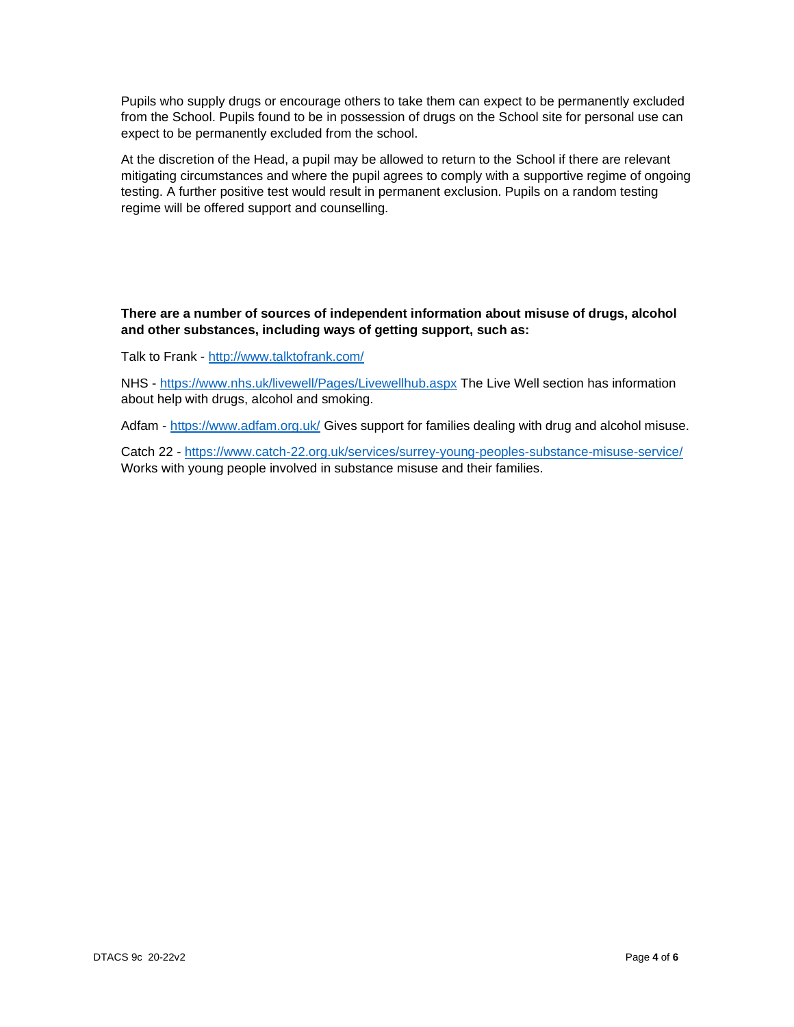Pupils who supply drugs or encourage others to take them can expect to be permanently excluded from the School. Pupils found to be in possession of drugs on the School site for personal use can expect to be permanently excluded from the school.

At the discretion of the Head, a pupil may be allowed to return to the School if there are relevant mitigating circumstances and where the pupil agrees to comply with a supportive regime of ongoing testing. A further positive test would result in permanent exclusion. Pupils on a random testing regime will be offered support and counselling.

## **There are a number of sources of independent information about misuse of drugs, alcohol and other substances, including ways of getting support, such as:**

Talk to Frank - <http://www.talktofrank.com/>

NHS - <https://www.nhs.uk/livewell/Pages/Livewellhub.aspx> The Live Well section has information about help with drugs, alcohol and smoking.

Adfam - <https://www.adfam.org.uk/> Gives support for families dealing with drug and alcohol misuse.

Catch 22 - <https://www.catch-22.org.uk/services/surrey-young-peoples-substance-misuse-service/> Works with young people involved in substance misuse and their families.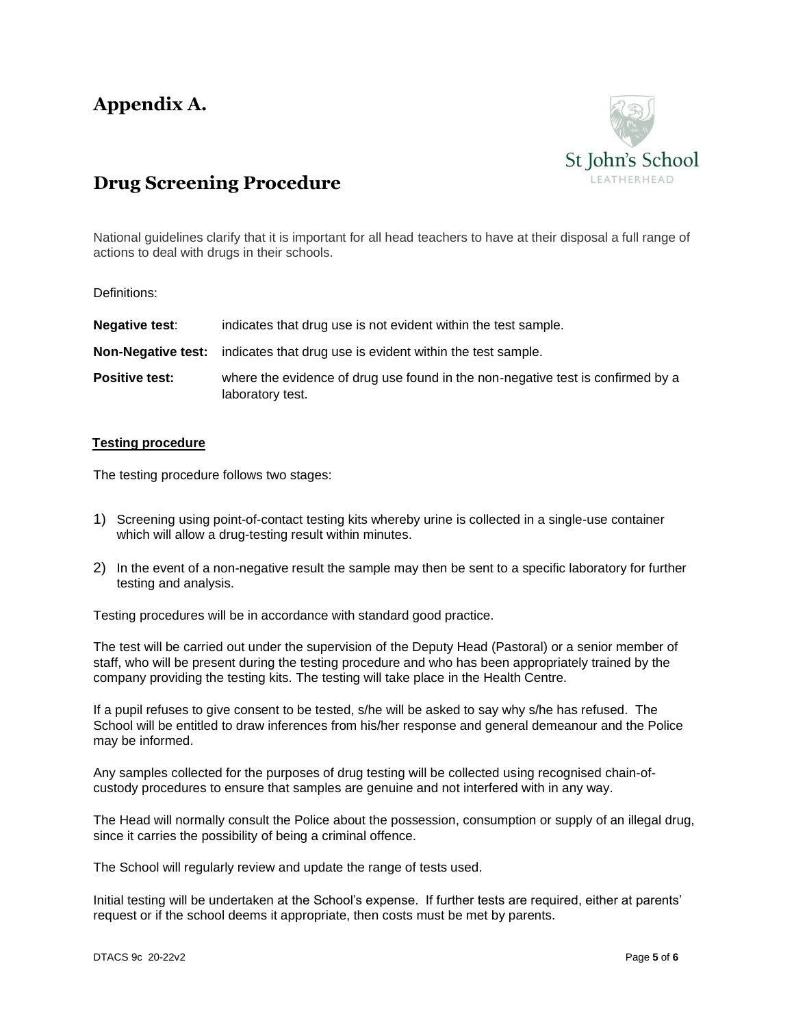# **Appendix A.**



## **Drug Screening Procedure**

National guidelines clarify that it is important for all head teachers to have at their disposal a full range of actions to deal with drugs in their schools.

## Definitions:

| <b>Negative test:</b> | indicates that drug use is not evident within the test sample.                                      |
|-----------------------|-----------------------------------------------------------------------------------------------------|
|                       | <b>Non-Negative test:</b> indicates that drug use is evident within the test sample.                |
| <b>Positive test:</b> | where the evidence of drug use found in the non-negative test is confirmed by a<br>laboratory test. |

### **Testing procedure**

The testing procedure follows two stages:

- 1) Screening using point-of-contact testing kits whereby urine is collected in a single-use container which will allow a drug-testing result within minutes.
- 2) In the event of a non-negative result the sample may then be sent to a specific laboratory for further testing and analysis.

Testing procedures will be in accordance with standard good practice.

The test will be carried out under the supervision of the Deputy Head (Pastoral) or a senior member of staff, who will be present during the testing procedure and who has been appropriately trained by the company providing the testing kits. The testing will take place in the Health Centre.

If a pupil refuses to give consent to be tested, s/he will be asked to say why s/he has refused. The School will be entitled to draw inferences from his/her response and general demeanour and the Police may be informed.

Any samples collected for the purposes of drug testing will be collected using recognised chain-ofcustody procedures to ensure that samples are genuine and not interfered with in any way.

The Head will normally consult the Police about the possession, consumption or supply of an illegal drug, since it carries the possibility of being a criminal offence.

The School will regularly review and update the range of tests used.

Initial testing will be undertaken at the School's expense. If further tests are required, either at parents' request or if the school deems it appropriate, then costs must be met by parents.